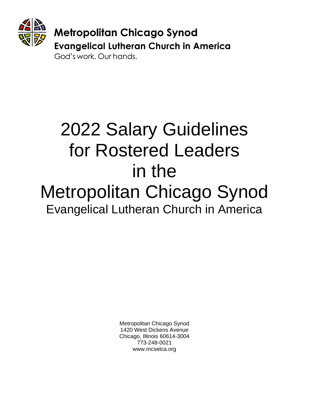

# God's work, Our hands.

# 2022 Salary Guidelines for Rostered Leaders in the Metropolitan Chicago Synod Evangelical Lutheran Church in America

Metropolitan Chicago Synod 1420 West Dickens Avenue Chicago, Illinois 60614-3004 773-248-0021 www.mcselca.org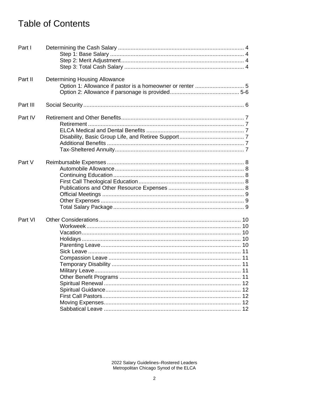# **Table of Contents**

| Part I   |                                      |
|----------|--------------------------------------|
| Part II  | <b>Determining Housing Allowance</b> |
| Part III |                                      |
| Part IV  |                                      |
| Part V   |                                      |
| Part VI  |                                      |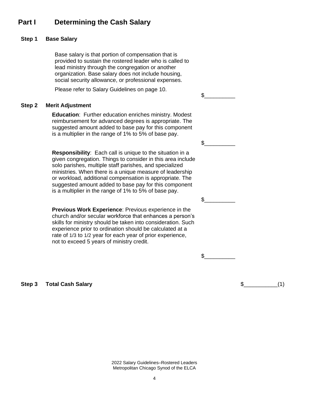# **Part I Determining the Cash Salary**

#### **Step 1 Base Salary**

Base salary is that portion of compensation that is provided to sustain the rostered leader who is called to lead ministry through the congregation or another organization. Base salary does not include housing, social security allowance, or professional expenses.

Please refer to Salary Guidelines on page 10.

#### **Step 2 Merit Adjustment**

**Education**: Further education enriches ministry. Modest reimbursement for advanced degrees is appropriate. The suggested amount added to base pay for this component is a multiplier in the range of 1% to 5% of base pay.

**Responsibility**: Each call is unique to the situation in a given congregation. Things to consider in this area include solo parishes, multiple staff parishes, and specialized ministries. When there is a unique measure of leadership or workload, additional compensation is appropriate. The suggested amount added to base pay for this component is a multiplier in the range of 1% to 5% of base pay.

**Previous Work Experience**: Previous experience in the church and/or secular workforce that enhances a person's skills for ministry should be taken into consideration. Such experience prior to ordination should be calculated at a rate of 1/3 to 1/2 year for each year of prior experience, not to exceed 5 years of ministry credit.

 $\frac{1}{2}$ 

 $\mathbb S$ 

 $\mathbb S$ 

 $\mathbb S$ 

**Step 3 Total Cash Salary 6. The step 3 <b>contract of the Step 3 5** (1)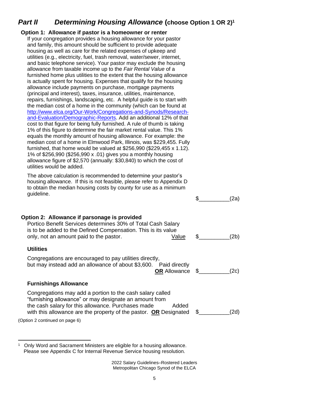# *Part II Determining Housing Allowance* **(choose Option 1 OR 2)<sup>1</sup>**

**Option 1: Allowance if pastor is a homeowner or renter** If your congregation provides a housing allowance for your pastor and family, this amount should be sufficient to provide adequate housing as well as care for the related expenses of upkeep and utilities (e.g., electricity, fuel, trash removal, water/sewer, internet, and basic telephone service). Your pastor may exclude the housing allowance from taxable income up to the *Fair Rental Value* of a furnished home plus utilities to the extent that the housing allowance is actually spent for housing. Expenses that qualify for the housing allowance include payments on purchase, mortgage payments (principal and interest), taxes, insurance, utilities, maintenance, repairs, furnishings, landscaping, etc. A helpful guide is to start with the median cost of a home in the community (which can be found at [http://www.elca.org/Our-Work/Congregations-and-Synods/Research](http://www.elca.org/Our-Work/Congregations-and-Synods/Research-and-Evaluation/Demographic-Reports)[and-Evaluation/Demographic-Reports.](http://www.elca.org/Our-Work/Congregations-and-Synods/Research-and-Evaluation/Demographic-Reports) Add an additional 12% of that cost to that figure for being fully furnished. A rule of thumb is taking 1% of this figure to determine the fair market rental value. This 1% equals the monthly amount of housing allowance. For example: the median cost of a home in Elmwood Park, Illinois, was \$229,455. Fully furnished, that home would be valued at \$256,990 (\$229,455 x 1.12). 1% of \$256,990 (\$256,990 x .01) gives you a monthly housing allowance figure of \$2,570 (annually: \$30,840) to which the cost of utilities would be added. The above calculation is recommended to determine your pastor's housing allowance. If this is not feasible, please refer to Appendix D to obtain the median housing costs by county for use as a minimum guideline.  $\sin(2a)$ **Option 2: Allowance if parsonage is provided** Portico Benefit Services determines 30% of Total Cash Salary is to be added to the Defined Compensation. This is its value only, not an amount paid to the pastor. The value  $\sim$  Value  $\sim$  4.5 (2b) **Utilities** Congregations are encouraged to pay utilities directly, but may instead add an allowance of about \$3,600. Paid directly **OR** Allowance \$\_\_\_\_\_\_\_\_\_\_(2c) **Furnishings Allowance** Congregations may add a portion to the cash salary called "furnishing allowance" or may designate an amount from the cash salary for this allowance. Purchases made Added with this allowance are the property of the pastor. **OR** Designated \$\_\_\_\_\_\_\_\_\_\_(2d)

(Option 2 continued on page 6)

<sup>1</sup> Only Word and Sacrament Ministers are eligible for a housing allowance. Please see Appendix C for Internal Revenue Service housing resolution.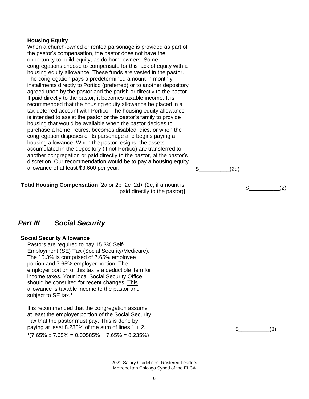#### **Housing Equity**

When a church-owned or rented parsonage is provided as part of the pastor's compensation, the pastor does not have the opportunity to build equity, as do homeowners. Some congregations choose to compensate for this lack of equity with a housing equity allowance. These funds are vested in the pastor. The congregation pays a predetermined amount in monthly installments directly to Portico (preferred) or to another depository agreed upon by the pastor and the parish or directly to the pastor. If paid directly to the pastor, it becomes taxable income. It is recommended that the housing equity allowance be placed in a tax-deferred account with Portico. The housing equity allowance is intended to assist the pastor or the pastor's family to provide housing that would be available when the pastor decides to purchase a home, retires, becomes disabled, dies, or when the congregation disposes of its parsonage and begins paying a housing allowance. When the pastor resigns, the assets accumulated in the depository (if not Portico) are transferred to another congregation or paid directly to the pastor, at the pastor's discretion. Our recommendation would be to pay a housing equity allowance of at least \$3,600 per year.  $\qquad \qquad$   $\qquad \qquad$   $\qquad \qquad$   $\qquad \qquad$   $\qquad \qquad$   $\qquad \qquad$   $\qquad \qquad$   $\qquad \qquad$   $\qquad \qquad$   $\qquad \qquad$   $\qquad \qquad$   $\qquad \qquad$   $\qquad \qquad$   $\qquad \qquad$   $\qquad \qquad$   $\qquad \qquad$   $\qquad \qquad$   $\qquad \qquad$   $\qquad \qquad$   $\qquad \qquad$   $\$ 

**Total Housing Compensation** [2a or 2b+2c+2d+ (2e, if amount is  $\frac{1}{2}$  paid directly to the pastor)]  $\frac{1}{2}$  and directly to the pastor)

## *Part III Social Security*

#### **Social Security Allowance**

Pastors are required to pay 15.3% Self-Employment (SE) Tax (Social Security/Medicare). The 15.3% is comprised of 7.65% employee portion and 7.65% employer portion. The employer portion of this tax is a deductible item for income taxes. Your local Social Security Office should be consulted for recent changes. This allowance is taxable income to the pastor and subject to SE tax.**\***

It is recommended that the congregation assume at least the employer portion of the Social Security Tax that the pastor must pay. This is done by paying at least 8.235% of the sum of lines  $1 + 2$ . **\***(7.65% x 7.65% = 0.00585% + 7.65% = 8.235%)

 $\textcircled{3}$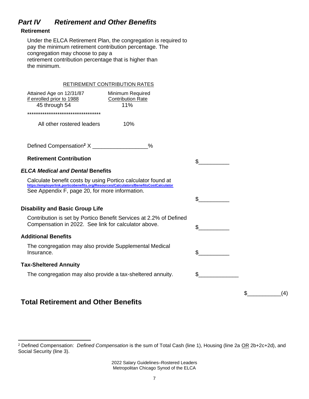# *Part IV Retirement and Other Benefits*

## **Retirement**

Under the ELCA Retirement Plan, the congregation is required to pay the minimum retirement contribution percentage. The congregation may choose to pay a retirement contribution percentage that is higher than the minimum.

|                                                                                                                                                       | <b>RETIREMENT CONTRIBUTION RATES</b>                               |              |           |
|-------------------------------------------------------------------------------------------------------------------------------------------------------|--------------------------------------------------------------------|--------------|-----------|
| Attained Age on 12/31/87<br>if enrolled prior to 1988<br>45 through 54                                                                                | Minimum Required<br><b>Contribution Rate</b><br>11%                |              |           |
| **********************************                                                                                                                    |                                                                    |              |           |
| All other rostered leaders                                                                                                                            | 10%                                                                |              |           |
|                                                                                                                                                       | $\frac{0}{0}$                                                      |              |           |
| <b>Retirement Contribution</b>                                                                                                                        |                                                                    |              |           |
| <b>ELCA Medical and Dental Benefits</b>                                                                                                               |                                                                    |              |           |
| Calculate benefit costs by using Portico calculator found at<br>https://employerlink.porticobenefits.org/Resources/Calculators/BenefitsCostCalculator |                                                                    |              |           |
| See Appendix F, page 20, for more information.                                                                                                        |                                                                    |              |           |
|                                                                                                                                                       |                                                                    |              |           |
| <b>Disability and Basic Group Life</b>                                                                                                                |                                                                    |              |           |
| Compensation in 2022. See link for calculator above.                                                                                                  | Contribution is set by Portico Benefit Services at 2.2% of Defined |              |           |
| <b>Additional Benefits</b>                                                                                                                            |                                                                    |              |           |
| The congregation may also provide Supplemental Medical<br>Insurance.                                                                                  |                                                                    | $\mathbb{S}$ |           |
| <b>Tax-Sheltered Annuity</b>                                                                                                                          |                                                                    |              |           |
| The congregation may also provide a tax-sheltered annuity.                                                                                            |                                                                    |              |           |
|                                                                                                                                                       |                                                                    |              | \$<br>(4) |

# **Total Retirement and Other Benefits**

<sup>2</sup> Defined Compensation: *Defined Compensation* is the sum of Total Cash (line 1), Housing (line 2a OR 2b+2c+2d), and Social Security (line 3).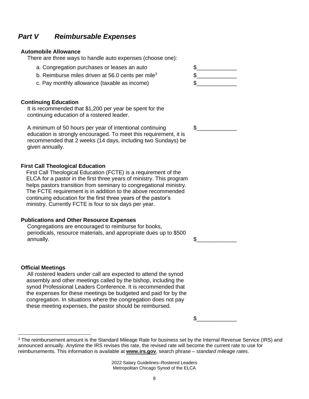# *Part V Reimbursable Expenses*

#### **Automobile Allowance**

There are three ways to handle auto expenses (choose one):

- a. Congregation purchases or leases an auto  $\qquad \qquad \$
- b. Reimburse miles driven at 56.0 cents per mile<sup>3</sup>  $\qquad \qquad$  \$
- c. Pay monthly allowance (taxable as income)

#### **Continuing Education**

It is recommended that \$1,200 per year be spent for the continuing education of a rostered leader.

A minimum of 50 hours per year of intentional continuing education is strongly encouraged. To meet this requirement, it is recommended that 2 weeks (14 days, including two Sundays) be given annually.

#### **First Call Theological Education**

First Call Theological Education (FCTE) is a requirement of the ELCA for a pastor in the first three years of ministry. This program helps pastors transition from seminary to congregational ministry. The FCTE requirement is in addition to the above recommended continuing education for the first three years of the pastor's ministry. Currently FCTE is four to six days per year.

#### **Publications and Other Resource Expenses**

Congregations are encouraged to reimburse for books, periodicals, resource materials, and appropriate dues up to \$500 annually.  $\texttt{\$}$ 

#### **Official Meetings**

All rostered leaders under call are expected to attend the synod assembly and other meetings called by the bishop, including the synod Professional Leaders Conference. It is recommended that the expenses for these meetings be budgeted and paid for by the congregation. In situations where the congregation does not pay these meeting expenses, the pastor should be reimbursed.

 $\text{\$}$ 

2022 Salary Guidelines–Rostered Leaders Metropolitan Chicago Synod of the ELCA



 $\text{\$}$ 

<sup>&</sup>lt;sup>3</sup> The reimbursement amount is the Standard Mileage Rate for business set by the Internal Revenue Service (IRS) and announced annually. Anytime the IRS revises this rate, the revised rate will become the current rate to use for reimbursements. This information is available at **[www.irs.gov](http://www.irs.gov/)**, search phrase – *standard mileage rates*.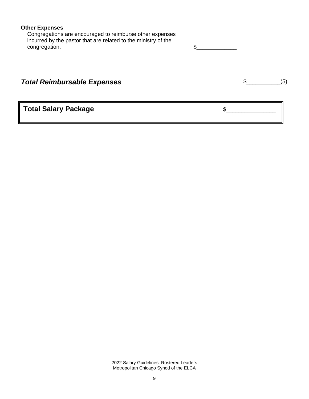## **Other Expenses**

Congregations are encouraged to reimburse other expenses incurred by the pastor that are related to the ministry of the congregation.

| <b>Total Reimbursable Expenses</b> |  |
|------------------------------------|--|
|                                    |  |
|                                    |  |

**Total Salary Package**  $\overline{\phantom{a}}$  $\overline{\phantom{a}}$  $\overline{\phantom{a}}$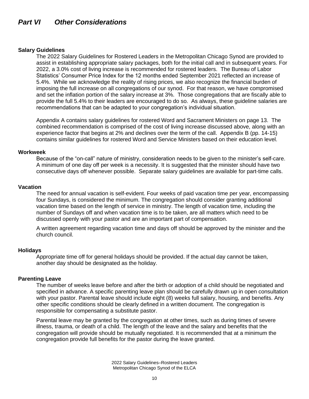#### **Salary Guidelines**

The 2022 Salary Guidelines for Rostered Leaders in the Metropolitan Chicago Synod are provided to assist in establishing appropriate salary packages, both for the initial call and in subsequent years. For 2022, a 3.0% cost of living increase is recommended for rostered leaders. The Bureau of Labor Statistics' Consumer Price Index for the 12 months ended September 2021 reflected an increase of 5.4%. While we acknowledge the reality of rising prices, we also recognize the financial burden of imposing the full increase on all congregations of our synod. For that reason, we have compromised and set the inflation portion of the salary increase at 3%. Those congregations that are fiscally able to provide the full 5.4% to their leaders are encouraged to do so. As always, these guideline salaries are recommendations that can be adapted to your congregation's individual situation.

Appendix A contains salary guidelines for rostered Word and Sacrament Ministers on page 13. The combined recommendation is comprised of the cost of living increase discussed above, along with an experience factor that begins at 2% and declines over the term of the call. Appendix B (pp. 14-15) contains similar guidelines for rostered Word and Service Ministers based on their education level.

#### **Workweek**

Because of the "on-call" nature of ministry, consideration needs to be given to the minister's self-care. A minimum of one day off per week is a necessity. It is suggested that the minister should have two consecutive days off whenever possible. Separate salary guidelines are available for part-time calls.

#### **Vacation**

The need for annual vacation is self-evident. Four weeks of paid vacation time per year, encompassing four Sundays, is considered the minimum. The congregation should consider granting additional vacation time based on the length of service in ministry. The length of vacation time, including the number of Sundays off and when vacation time is to be taken, are all matters which need to be discussed openly with your pastor and are an important part of compensation.

A written agreement regarding vacation time and days off should be approved by the minister and the church council.

#### **Holidays**

Appropriate time off for general holidays should be provided. If the actual day cannot be taken, another day should be designated as the holiday.

#### **Parenting Leave**

The number of weeks leave before and after the birth or adoption of a child should be negotiated and specified in advance. A specific parenting leave plan should be carefully drawn up in open consultation with your pastor. Parental leave should include eight (8) weeks full salary, housing, and benefits. Any other specific conditions should be clearly defined in a written document. The congregation is responsible for compensating a substitute pastor.

Parental leave may be granted by the congregation at other times, such as during times of severe illness, trauma, or death of a child. The length of the leave and the salary and benefits that the congregation will provide should be mutually negotiated. It is recommended that at a minimum the congregation provide full benefits for the pastor during the leave granted.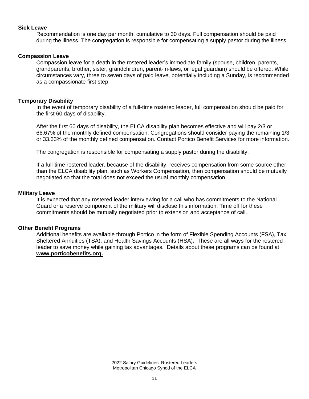#### **Sick Leave**

Recommendation is one day per month, cumulative to 30 days. Full compensation should be paid during the illness. The congregation is responsible for compensating a supply pastor during the illness.

#### **Compassion Leave**

Compassion leave for a death in the rostered leader's immediate family (spouse, children, parents, grandparents, brother, sister, grandchildren, parent-in-laws, or legal guardian) should be offered. While circumstances vary, three to seven days of paid leave, potentially including a Sunday, is recommended as a compassionate first step.

#### **Temporary Disability**

In the event of temporary disability of a full-time rostered leader, full compensation should be paid for the first 60 days of disability.

After the first 60 days of disability, the ELCA disability plan becomes effective and will pay 2/3 or 66.67% of the monthly defined compensation. Congregations should consider paying the remaining 1/3 or 33.33% of the monthly defined compensation. Contact Portico Benefit Services for more information.

The congregation is responsible for compensating a supply pastor during the disability.

If a full-time rostered leader, because of the disability, receives compensation from some source other than the ELCA disability plan, such as Workers Compensation, then compensation should be mutually negotiated so that the total does not exceed the usual monthly compensation.

#### **Military Leave**

It is expected that any rostered leader interviewing for a call who has commitments to the National Guard or a reserve component of the military will disclose this information. Time off for these commitments should be mutually negotiated prior to extension and acceptance of call.

#### **Other Benefit Programs**

Additional benefits are available through Portico in the form of Flexible Spending Accounts (FSA), Tax Sheltered Annuities (TSA), and Health Savings Accounts (HSA). These are all ways for the rostered leader to save money while gaining tax advantages. Details about these programs can be found at **[www.porticobenefits.org.](http://www.porticobenefits.org/)**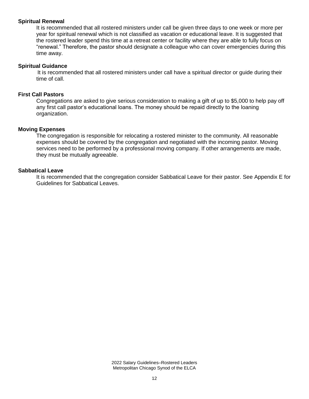#### **Spiritual Renewal**

It is recommended that all rostered ministers under call be given three days to one week or more per year for spiritual renewal which is not classified as vacation or educational leave. It is suggested that the rostered leader spend this time at a retreat center or facility where they are able to fully focus on "renewal." Therefore, the pastor should designate a colleague who can cover emergencies during this time away.

#### **Spiritual Guidance**

It is recommended that all rostered ministers under call have a spiritual director or guide during their time of call.

## **First Call Pastors**

Congregations are asked to give serious consideration to making a gift of up to \$5,000 to help pay off any first call pastor's educational loans. The money should be repaid directly to the loaning organization.

#### **Moving Expenses**

The congregation is responsible for relocating a rostered minister to the community. All reasonable expenses should be covered by the congregation and negotiated with the incoming pastor. Moving services need to be performed by a professional moving company. If other arrangements are made, they must be mutually agreeable.

#### **Sabbatical Leave**

It is recommended that the congregation consider Sabbatical Leave for their pastor. See Appendix E for Guidelines for Sabbatical Leaves.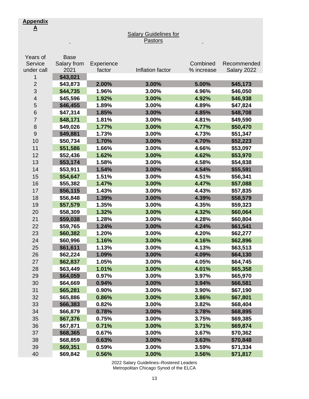$\sim$ 

#### **Salary Guidelines for** Pastors

 $\blacksquare$ 

| Years of                 | <b>Base</b> |            |                  |            |             |
|--------------------------|-------------|------------|------------------|------------|-------------|
| Service                  | Salary from | Experience |                  | Combined   | Recommended |
| under call               | 2021        | factor     | Inflation factor | % increase | Salary 2022 |
| 1                        | \$43,021    |            |                  |            |             |
| $\overline{2}$           | \$43,873    | 2.00%      | 3.00%            | 5.00%      | \$45,173    |
| 3                        | \$44,735    | 1.96%      | 3.00%            | 4.96%      | \$46,050    |
| $\overline{\mathcal{A}}$ | \$45,596    | 1.92%      | 3.00%            | 4.92%      | \$46,938    |
| 5                        | \$46,455    | 1.89%      | 3.00%            | 4.89%      | \$47,824    |
| 6                        | \$47,314    | 1.85%      | 3.00%            | 4.85%      | \$48,708    |
| $\overline{7}$           | \$48,171    | 1.81%      | 3.00%            | 4.81%      | \$49,590    |
| 8                        | \$49,026    | 1.77%      | 3.00%            | 4.77%      | \$50,470    |
| 9                        | \$49,881    | 1.73%      | 3.00%            | 4.73%      | \$51,347    |
| 10                       | \$50,734    | 1.70%      | 3.00%            | 4.70%      | \$52,223    |
| 11                       | \$51,586    | 1.66%      | 3.00%            | 4.66%      | \$53,097    |
| 12                       | \$52,436    | 1.62%      | 3.00%            | 4.62%      | \$53,970    |
| 13                       | \$53,174    | 1.58%      | 3.00%            | 4.58%      | \$54,838    |
| 14                       | \$53,911    | 1.54%      | 3.00%            | 4.54%      | \$55,591    |
| 15                       | \$54,647    | 1.51%      | 3.00%            | 4.51%      | \$56,341    |
| 16                       | \$55,382    | 1.47%      | 3.00%            | 4.47%      | \$57,088    |
| 17                       | \$56,115    | 1.43%      | 3.00%            | 4.43%      | \$57,835    |
| 18                       | \$56,848    | 1.39%      | 3.00%            | 4.39%      | \$58,579    |
| 19                       | \$57,579    | 1.35%      | 3.00%            | 4.35%      | \$59,323    |
| 20                       | \$58,309    | 1.32%      | 3.00%            | 4.32%      | \$60,064    |
| 21                       | \$59,038    | 1.28%      | 3.00%            | 4.28%      | \$60,804    |
| 22                       | \$59,765    | 1.24%      | 3.00%            | 4.24%      | \$61,541    |
| 23                       | \$60,382    | 1.20%      | 3.00%            | 4.20%      | \$62,277    |
| 24                       | \$60,996    | 1.16%      | 3.00%            | 4.16%      | \$62,896    |
| 25                       | \$61,611    | 1.13%      | 3.00%            | 4.13%      | \$63,513    |
| 26                       | \$62,224    | 1.09%      | 3.00%            | 4.09%      | \$64,130    |
| 27                       | \$62,837    | 1.05%      | 3.00%            | 4.05%      | \$64,745    |
| 28                       | \$63,449    | 1.01%      | 3.00%            | 4.01%      | \$65,358    |
| 29                       | \$64,059    | 0.97%      | 3.00%            | 3.97%      | \$65,970    |
| 30                       | \$64,669    | 0.94%      | 3.00%            | 3.94%      | \$66,581    |
| 31                       | \$65,281    | 0.90%      | 3.00%            | 3.90%      | \$67,190    |
| 32                       | \$65,886    | 0.86%      | 3.00%            | 3.86%      | \$67,801    |
| 33                       | \$66,383    | 0.82%      | 3.00%            | 3.82%      | \$68,404    |
| 34                       | \$66,879    | 0.78%      | 3.00%            | 3.78%      | \$68,895    |
| 35                       | \$67,376    | 0.75%      | 3.00%            | 3.75%      | \$69,385    |
| 36                       | \$67,871    | 0.71%      | 3.00%            | 3.71%      | \$69,874    |
| 37                       | \$68,365    | 0.67%      | 3.00%            | 3.67%      | \$70,362    |
| 38                       | \$68,859    | 0.63%      | 3.00%            | 3.63%      | \$70,848    |
| 39                       | \$69,351    | 0.59%      | 3.00%            | 3.59%      | \$71,334    |
| 40                       | \$69,842    | 0.56%      | 3.00%            | 3.56%      | \$71,817    |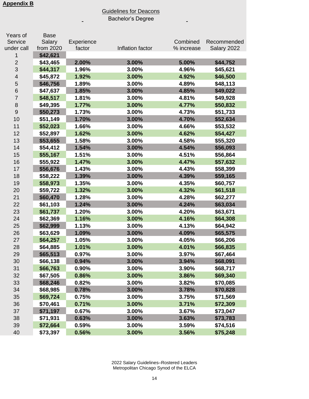## Guidelines for Deacons Bachelor's Degree

 $\blacksquare$ 

 $\overline{a}$ 

| Years of       | <b>Base</b> |            |                  |            |             |
|----------------|-------------|------------|------------------|------------|-------------|
| Service        | Salary      | Experience |                  | Combined   | Recommended |
| under call     | from 2020   | factor     | Inflation factor | % increase | Salary 2022 |
| 1              | \$42,621    |            |                  |            |             |
| $\overline{c}$ | \$43,465    | 2.00%      | 3.00%            | 5.00%      | \$44,752    |
| 3              | \$44,317    | 1.96%      | 3.00%            | 4.96%      | \$45,621    |
| 4              | \$45,872    | 1.92%      | 3.00%            | 4.92%      | \$46,500    |
| 5              | \$46,756    | 1.89%      | 3.00%            | 4.89%      | \$48,113    |
| 6              | \$47,637    | 1.85%      | 3.00%            | 4.85%      | \$49,022    |
| $\overline{7}$ | \$48,517    | 1.81%      | 3.00%            | 4.81%      | \$49,928    |
| 8              | \$49,395    | 1.77%      | 3.00%            | 4.77%      | \$50,832    |
| 9              | \$50,273    | 1.73%      | 3.00%            | 4.73%      | \$51,733    |
| 10             | \$51,149    | 1.70%      | 3.00%            | 4.70%      | \$52,634    |
| 11             | \$52,023    | 1.66%      | 3.00%            | 4.66%      | \$53,532    |
| 12             | \$52,897    | 1.62%      | 3.00%            | 4.62%      | \$54,427    |
| 13             | \$53,655    | 1.58%      | 3.00%            | 4.58%      | \$55,320    |
| 14             | \$54,412    | 1.54%      | 3.00%            | 4.54%      | \$56,093    |
| 15             | \$55,167    | 1.51%      | 3.00%            | 4.51%      | \$56,864    |
| 16             | \$55,922    | 1.47%      | 3.00%            | 4.47%      | \$57,632    |
| 17             | \$56,676    | 1.43%      | 3.00%            | 4.43%      | \$58,399    |
| 18             | \$58,222    | 1.39%      | 3.00%            | 4.39%      | \$59,165    |
| 19             | \$58,973    | 1.35%      | 3.00%            | 4.35%      | \$60,757    |
| 20             | \$59,722    | 1.32%      | 3.00%            | 4.32%      | \$61,518    |
| 21             | \$60,470    | 1.28%      | 3.00%            | 4.28%      | \$62,277    |
| 22             | \$61,103    | 1.24%      | 3.00%            | 4.24%      | \$63,034    |
| 23             | \$61,737    | 1.20%      | 3.00%            | 4.20%      | \$63,671    |
| 24             | \$62,369    | 1.16%      | 3.00%            | 4.16%      | \$64,308    |
| 25             | \$62,999    | 1.13%      | 3.00%            | 4.13%      | \$64,942    |
| 26             | \$63,629    | 1.09%      | 3.00%            | 4.09%      | \$65,575    |
| 27             | \$64,257    | 1.05%      | 3.00%            | 4.05%      | \$66,206    |
| 28             | \$64,885    | 1.01%      | 3.00%            | 4.01%      | \$66,835    |
| 29             | \$65,513    | 0.97%      | 3.00%            | 3.97%      | \$67,464    |
| 30             | \$66,138    | 0.94%      | 3.00%            | 3.94%      | \$68,091    |
| 31             | \$66,763    | 0.90%      | 3.00%            | 3.90%      | \$68,717    |
| 32             | \$67,505    | 0.86%      | 3.00%            | 3.86%      | \$69,340    |
| 33             | \$68,246    | 0.82%      | 3.00%            | 3.82%      | \$70,085    |
| 34             | \$68,985    | 0.78%      | 3.00%            | 3.78%      | \$70,828    |
| 35             | \$69,724    | 0.75%      | 3.00%            | 3.75%      | \$71,569    |
| 36             | \$70,461    | 0.71%      | 3.00%            | 3.71%      | \$72,309    |
| 37             | \$71,197    | 0.67%      | 3.00%            | 3.67%      | \$73,047    |
| 38             | \$71,931    | 0.63%      | 3.00%            | 3.63%      | \$73,783    |
| 39             | \$72,664    | 0.59%      | 3.00%            | 3.59%      | \$74,516    |
| 40             | \$73,397    | 0.56%      | 3.00%            | 3.56%      | \$75,248    |
|                |             |            |                  |            |             |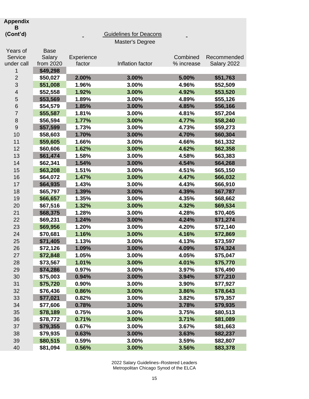## **Appendix**

#### **B**

#### **(Cont'd)** Guidelines for Deacons Master's Degree Years of Service under call Base Salary from 2020 **Experience** factor Inflation factor Combined % increase Recommended Salary 2022 **\$49,298 \$50,027 2.00% 3.00% 5.00% \$51,763 \$51,008 1.96% 3.00% 4.96% \$52,509 \$52,558 1.92% 3.00% 4.92% \$53,520 \$53,569 1.89% 3.00% 4.89% \$55,126 \$54,579 1.85% 3.00% 4.85% \$56,166 \$55,587 1.81% 3.00% 4.81% \$57,204 \$56,594 1.77% 3.00% 4.77% \$58,240 \$57,599 1.73% 3.00% 4.73% \$59,273 \$58,603 1.70% 3.00% 4.70% \$60,304 \$59,605 1.66% 3.00% 4.66% \$61,332 \$60,606 1.62% 3.00% 4.62% \$62,358 \$61,474 1.58% 3.00% 4.58% \$63,383 \$62,341 1.54% 3.00% 4.54% \$64,268 \$63,208 1.51% 3.00% 4.51% \$65,150 \$64,072 1.47% 3.00% 4.47% \$66,032 \$64,935 1.43% 3.00% 4.43% \$66,910 \$65,797 1.39% 3.00% 4.39% \$67,787 \$66,657 1.35% 3.00% 4.35% \$68,662 \$67,516 1.32% 3.00% 4.32% \$69,534 \$68,375 1.28% 3.00% 4.28% \$70,405 \$69,231 1.24% 3.00% 4.24% \$71,274 \$69,956 1.20% 3.00% 4.20% \$72,140 \$70,681 1.16% 3.00% 4.16% \$72,869 \$71,405 1.13% 3.00% 4.13% \$73,597 \$72,126 1.09% 3.00% 4.09% \$74,324 \$72,848 1.05% 3.00% 4.05% \$75,047 \$73,567 1.01% 3.00% 4.01% \$75,770 \$74,286 0.97% 3.00% 3.97% \$76,490 \$75,003 0.94% 3.00% 3.94% \$77,210 \$75,720 0.90% 3.00% 3.90% \$77,927 \$76,436 0.86% 3.00% 3.86% \$78,643 \$77,021 0.82% 3.00% 3.82% \$79,357**

 **\$77,606 0.78% 3.00% 3.78% \$79,935 \$78,189 0.75% 3.00% 3.75% \$80,513 \$78,772 0.71% 3.00% 3.71% \$81,089 \$79,355 0.67% 3.00% 3.67% \$81,663 \$79,935 0.63% 3.00% 3.63% \$82,237 \$80,515 0.59% 3.00% 3.59% \$82,807 \$81,094 0.56% 3.00% 3.56% \$83,378**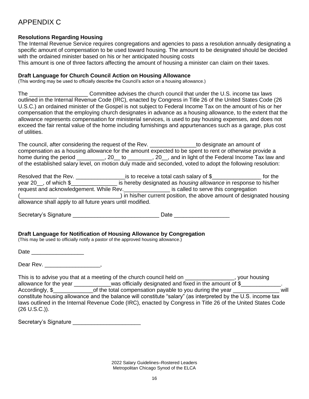# APPENDIX C

## **Resolutions Regarding Housing**

The Internal Revenue Service requires congregations and agencies to pass a resolution annually designating a specific amount of compensation to be used toward housing. The amount to be designated should be decided with the ordained minister based on his or her anticipated housing costs

This amount is one of three factors affecting the amount of housing a minister can claim on their taxes.

#### **Draft Language for Church Council Action on Housing Allowance**

(This wording may be used to officially describe the Council's action on a housing allowance.)

The **Example 20 Committee advises the church council that under the U.S. income tax laws** outlined in the Internal Revenue Code (IRC), enacted by Congress in Title 26 of the United States Code (26 U.S.C.) an ordained minister of the Gospel is not subject to Federal Income Tax on the amount of his or her compensation that the employing church designates in advance as a housing allowance, to the extent that the allowance represents compensation for ministerial services, is used to pay housing expenses, and does not exceed the fair rental value of the home including furnishings and appurtenances such as a garage, plus cost of utilities.

The council, after considering the request of the Rev. The residence an amount of compensation as a housing allowance for the amount expected to be spent to rent or otherwise provide a home during the period \_\_\_\_\_\_\_\_, 20\_\_ to \_\_\_\_\_\_\_, 20\_, and in light of the Federal Income Tax law and of the established salary level, on motion duly made and seconded, voted to adopt the following resolution:

| Resolved that the Rev.                                    | is to receive a total cash salary of \$                                 | for the |
|-----------------------------------------------------------|-------------------------------------------------------------------------|---------|
| year 20, of which $\$                                     | is hereby designated as <i>housing allowance</i> in response to his/her |         |
| request and acknowledgement. While Rev.                   | is called to serve this congregation                                    |         |
|                                                           | ) in his/her current position, the above amount of designated housing   |         |
| allowance shall apply to all future years until modified. |                                                                         |         |

Secretary's Signature extending the secretary's Signature extending the secretary's Signature extending the secretary

## **Draft Language for Notification of Housing Allowance by Congregation**

(This may be used to officially notify a pastor of the approved housing allowance.)

Date \_\_\_\_\_\_\_\_\_\_\_\_\_\_\_\_\_

Dear Rev. \_\_\_\_\_\_\_\_\_\_\_\_\_\_\_\_\_\_\_,

|                        | This is to advise you that at a meeting of the church council held on                                        | your housing |
|------------------------|--------------------------------------------------------------------------------------------------------------|--------------|
| allowance for the year | was officially designated and fixed in the amount of \$                                                      |              |
| Accordingly, \$        | of the total compensation payable to you during the year                                                     | will         |
|                        | constitute housing allowance and the balance will constitute "salary" (as interpreted by the U.S. income tax |              |
|                        | laws outlined in the Internal Revenue Code (IRC), enacted by Congress in Title 26 of the United States Code  |              |
| (26 U.S.C.).           |                                                                                                              |              |

| Secretary's Signature |  |
|-----------------------|--|
|-----------------------|--|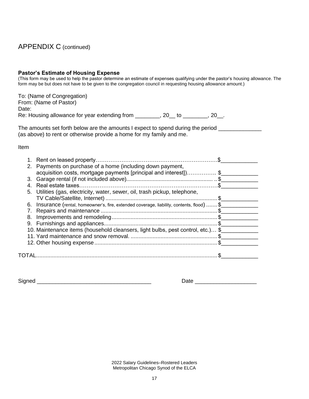# APPENDIX C (continued)

# **Pastor's Estimate of Housing Expense**

(This form may be used to help the pastor determine an estimate of expenses qualifying under the pastor's housing allowance. The form may be but does not have to be given to the congregation council in requesting housing allowance amount.)

| To: (Name of Congregation)                    |     |    |     |
|-----------------------------------------------|-----|----|-----|
| From: (Name of Pastor)                        |     |    |     |
| Date:                                         |     |    |     |
| Re: Housing allowance for year extending from | 20. | TΩ | -20 |

| The amounts set forth below are the amounts I expect to spend during the period |  |  |
|---------------------------------------------------------------------------------|--|--|
| (as above) to rent or otherwise provide a home for my family and me.            |  |  |

Item

| 2. Payments on purchase of a home (including down payment,<br>acquisition costs, mortgage payments [principal and interest])\$ |  |
|--------------------------------------------------------------------------------------------------------------------------------|--|
|                                                                                                                                |  |
|                                                                                                                                |  |
| 5. Utilities (gas, electricity, water, sewer, oil, trash pickup, telephone,                                                    |  |
|                                                                                                                                |  |
| 6. Insurance (rental, homeowner's, fire, extended coverage, liability, contents, flood)  \$                                    |  |
|                                                                                                                                |  |
|                                                                                                                                |  |
|                                                                                                                                |  |
| 10. Maintenance items (household cleansers, light bulbs, pest control, etc.) \$                                                |  |
|                                                                                                                                |  |
|                                                                                                                                |  |
|                                                                                                                                |  |
|                                                                                                                                |  |

Signed \_\_\_\_\_\_\_\_\_\_\_\_\_\_\_\_\_\_\_\_\_\_\_\_\_\_\_\_\_\_\_\_\_\_\_\_\_ Date \_\_\_\_\_\_\_\_\_\_\_\_\_\_\_\_\_\_\_\_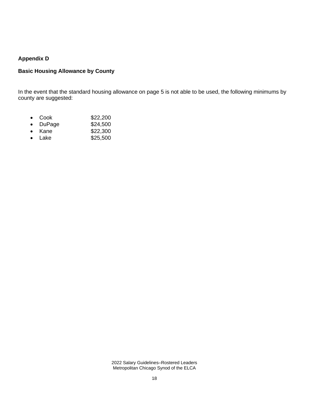## **Appendix D**

## **Basic Housing Allowance by County**

In the event that the standard housing allowance on page 5 is not able to be used, the following minimums by county are suggested:

- Cook \$22,200
- DuPage \$24,500
- Kane \$22,300
- Lake \$25,500